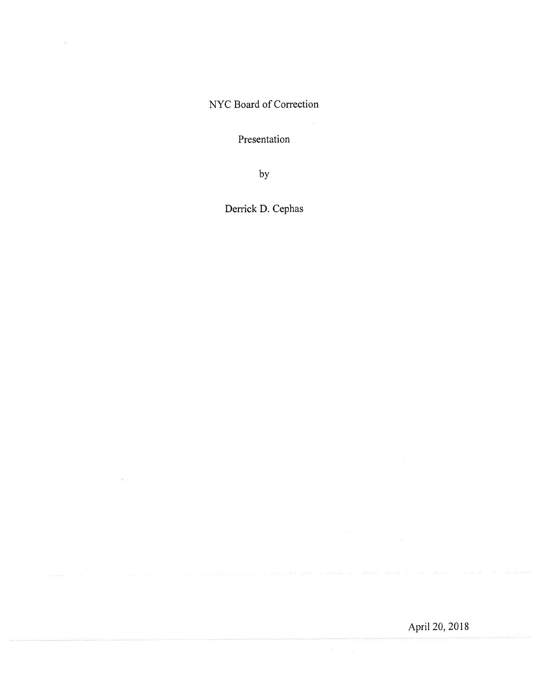NYC Board of Correction

 $\bar{z}$ 

Presentation

by

Derrick D. Cephas

 $\bar{z}$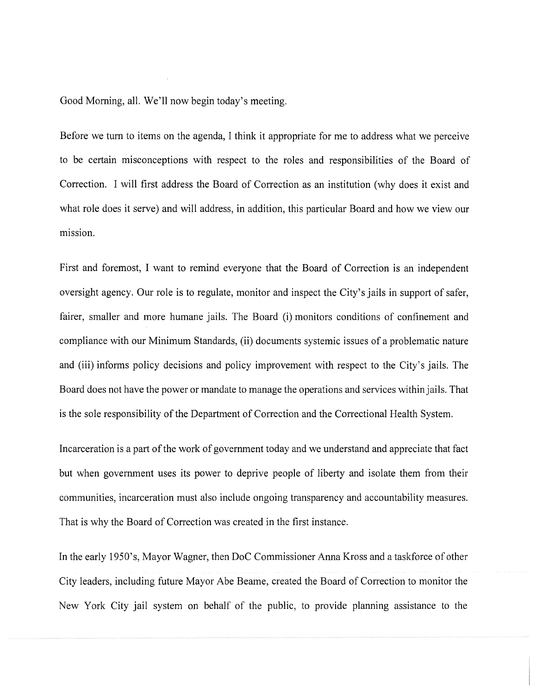Good Morning, all. We'll now begin today's meeting.

Before we turn to items on the agenda, I think it appropriate for me to address what we perceive to be certain misconceptions with respect to the roles and responsibilities of the Board of Correction. I will first address the Board of Correction as an institution (why does it exist and what role does it serve) and will address, in addition, this particular Board and how we view our mission.

First and foremost, I want to remind everyone that the Board of Correction is an independent oversight agency. Our role is to regulate, monitor and inspect the City's jails in support of safer, fairer, smaller and more humane jails. The Board (i) monitors conditions of confinement and compliance with our Minimum Standards, (ii) documents systemic issues of a problematic nature and (iii) informs policy decisions and policy improvement with respect to the City's jails. The Board does not have the power or mandate to manage the operations and services within jails. That is the sole responsibility of the Department of Correction and the Correctional Health System.

Incarceration is a part of the work of government today and we understand and appreciate that fact but when government uses its power to deprive people of liberty and isolate them from their communities, incarceration must also include ongoing transparency and accountability measures. That is why the Board of Correction was created in the first instance.

In the early 1950's, Mayor Wagner, then DoC Commissioner Anna Kross and a taskforce of other City leaders, including future Mayor Abe Beame, created the Board of Correction to monitor the New York City jail system on behalf of the public, to provide planning assistance to the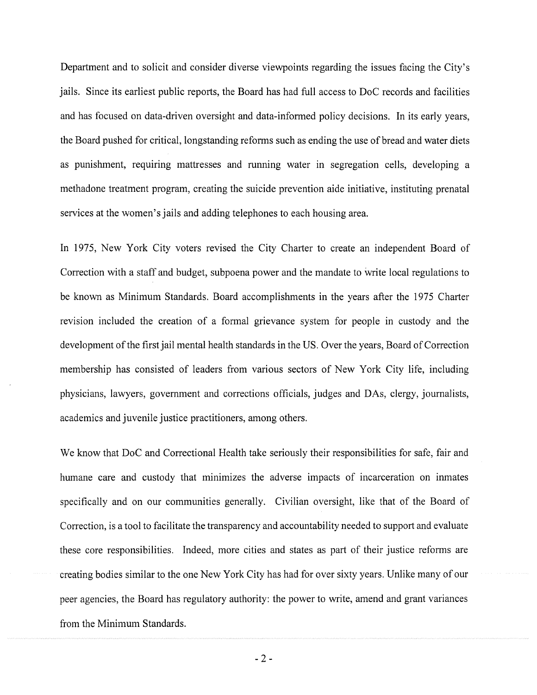Department and to solicit and consider diverse viewpoints regarding the issues facing the City's jails. Since its earliest public reports, the Board has had full access to DoC records and facilities and has focused on data-driven oversight and data-informed policy decisions. In its early years, the Board pushed for critical, longstanding reforms such as ending the use of bread and water diets as punishment, requiring mattresses and running water in segregation cells, developing a methadone treatment program, creating the suicide prevention aide initiative, instituting prenatal services at the women's jails and adding telephones to each housing area.

In 1975, New York City voters revised the City Charter to create an independent Board of Correction with a staff and budget, subpoena power and the mandate to write local regulations to be known as Minimum Standards. Board accomplishments in the years after the 1975 Charter revision included the creation of a formal grievance system for people in custody and the development of the first jail mental health standards in the US. Over the years, Board of Correction membership has consisted of leaders from various sectors of New York City life, including physicians, lawyers, government and corrections officials, judges and DAs, clergy, journalists, academics and juvenile justice practitioners, among others.

We know that DoC and Correctional Health take seriously their responsibilities for safe, fair and humane care and custody that minimizes the adverse impacts of incarceration on inmates specifically and on our communities generally. Civilian oversight, like that of the Board of Correction, is a tool to facilitate the transparency and accountability needed to support and evaluate these core responsibilities. Indeed, more cities and states as part of their justice reforms are creating bodies similar to the one New York City has had for over sixty years. Unlike many of our peer agencies, the Board has regulatory authority: the power to write, amend and grant variances from the Minimum Standards.

-2-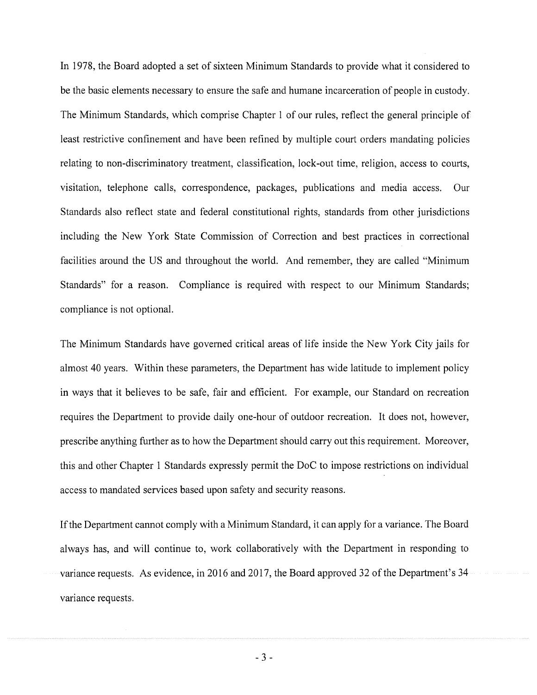In 1978, the Board adopted a set of sixteen Minimum Standards to provide what it considered to be the basic elements necessary to ensure the safe and humane incarceration of people in custody. The Minimum Standards, which comprise Chapter 1 of our rules, reflect the general principle of least restrictive confinement and have been refined by multiple court orders mandating policies relating to non-discriminatory treatment, classification, lock-out time, religion, access to courts, visitation, telephone calls, correspondence, packages, publications and media access. Our Standards also reflect state and federal constitutional rights, standards from other jurisdictions including the New York State Commission of Correction and best practices in correctional facilities around the US and throughout the world. And remember, they are called "Minimum Standards" for a reason. Compliance is required with respect to our Minimum Standards; compliance is not optional.

The Minimum Standards have governed critical areas of life inside the New York City jails for almost 40 years. Within these parameters, the Department has wide latitude to implement policy in ways that it believes to be safe, fair and efficient. For example, our Standard on recreation requires the Department to provide daily one-hour of outdoor recreation. It does not, however, prescribe anything further as to how the Department should carry out this requirement. Moreover, this and other Chapter 1 Standards expressly permit the DoC to impose restrictions on individual access to mandated services based upon safety and security reasons.

If the Department cannot comply with a Minimum Standard, it can apply for a variance. The Board always has, and will continue to, work collaboratively with the Department in responding to variance requests. As evidence, in 2016 and 2017, the Board approved 32 of the Department's 34 variance requests.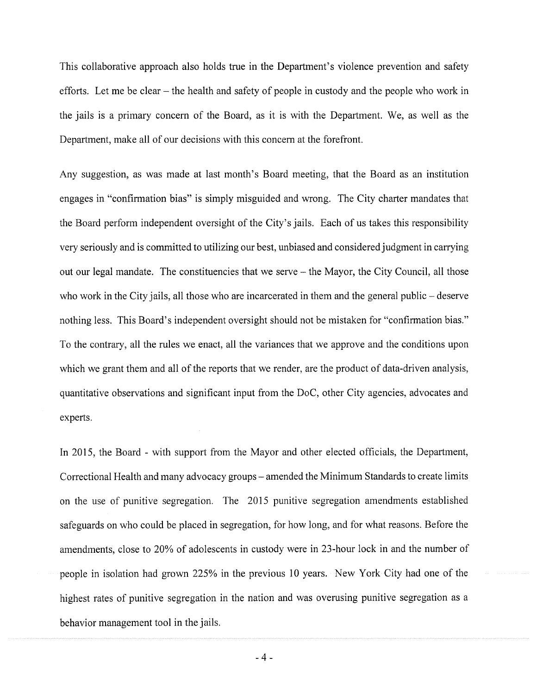This collaborative approach also holds true in the Department's violence prevention and safety efforts. Let me be clear – the health and safety of people in custody and the people who work in the jails is a primary concern of the Board, as it is with the Department. We, as well as the Department, make all of our decisions with this concern at the forefront.

Any suggestion, as was made at last month's Board meeting, that the Board as an institution engages in "confirmation bias" is simply misguided and wrong. The City charter mandates that the Board perform independent oversight of the City's jails. Each of us takes this responsibility very seriously and is committed to utilizing our best, unbiased and considered judgment in carrying out our legal mandate. The constituencies that we serve  $-$  the Mayor, the City Council, all those who work in the City jails, all those who are incarcerated in them and the general public – deserve nothing less. This Board's independent oversight should not be mistaken for "confirmation bias." To the contrary, all the rules we enact, all the variances that we approve and the conditions upon which we grant them and all of the reports that we render, are the product of data-driven analysis, quantitative observations and significant input from the DoC, other City agencies, advocates and experts.

In 2015, the Board - with support from the Mayor and other elected officials, the Department, Correctional Health and many advocacy groups – amended the Minimum Standards to create limits on the use of punitive segregation. The 2015 punitive segregation amendments established safeguards on who could be placed in segregation, for how long, and for what reasons. Before the amendments, close to 20% of adolescents in custody were in 23-hour lock in and the number of people in isolation had grown 225% in the previous 10 years. New York City had one of the highest rates of punitive segregation in the nation and was overusing punitive segregation as a behavior management tool in the jails.

.4.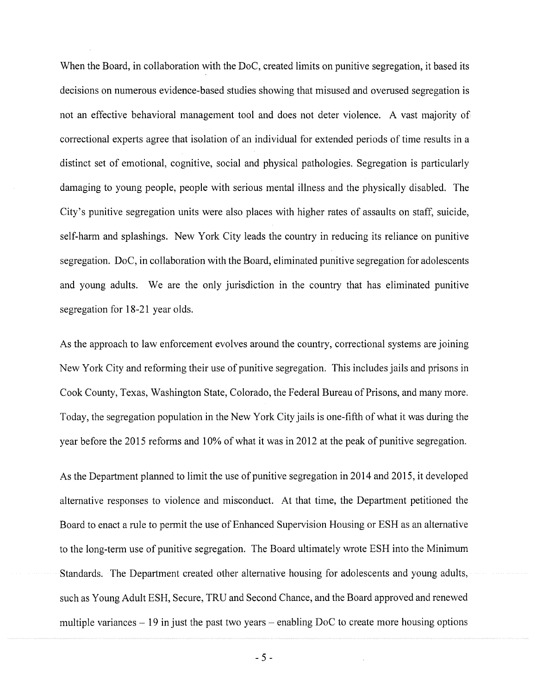When the Board, in collaboration with the DoC, created limits on punitive segregation, it based its decisions on numerous evidence-based studies showing that misused and overused segregation is not an effective behavioral management tool and does not deter violence. A vast majority of correctional experts agree that isolation of an individual for extended periods of time results in a distinct set of emotional, cognitive, social and physical pathologies. Segregation is particularly damaging to young people, people with serious mental illness and the physically disabled. The City's punitive segregation units were also places with higher rates of assaults on staff, suicide, self-harm and splashings. New York City leads the country in reducing its reliance on punitive segregation. DoC, in collaboration with the Board, eliminated punitive segregation for adolescents and young adults. We are the only jurisdiction in the country that has eliminated punitive segregation for 18-21 year olds.

As the approach to law enforcement evolves around the country, correctional systems are joining New York City and reforming their use of punitive segregation. This includes jails and prisons in Cook County, Texas, Washington State, Colorado, the Federal Bureau of Prisons, and many more. Today, the segregation population in the New York City jails is one-fifth of what it was during the year before the 2015 reforms and 10% of what it was in 2012 at the peak of punitive segregation.

As the Department planned to limit the use of punitive segregation in 2014 and 2015, it developed alternative responses to violence and misconduct. At that time, the Department petitioned the Board to enact a rule to permit the use of Enhanced Supervision Housing or ESH as an alternative to the long-term use of punitive segregation. The Board ultimately wrote ESH into the Minimum Standards. The Department created other alternative housing for adolescents and young adults, such as Young Adult ESH, Secure, TRU and Second Chance, and the Board approved and renewed multiple variances  $-19$  in just the past two years – enabling DoC to create more housing options